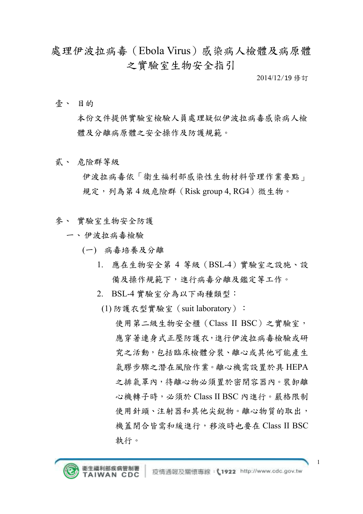處理伊波拉病毒(Ebola Virus)感染病人檢體及病原體 之實驗室生物安全指引

2014/12/19 修訂

壹、 目的

本份文件提供實驗室檢驗人員處理疑似伊波拉病毒感染病人檢 體及分離病原體之安全操作及防護規範。

貳、 危險群等級

伊波拉病毒依「衛生福利部感染性生物材料管理作業要點」 規定,列為第4級危險群(Risk group 4, RG4)微生物。

- 參、 實驗室生物安全防護
	- 一、伊波拉病毒檢驗
		- (一) 病毒培養及分離
			- 1. 應在生物安全第 4 等級(BSL-4)實驗室之設施、設 備及操作規範下,進行病毒分離及鑑定等工作。
			- 2. BSL-4 實驗室分為以下兩種類型:
			- (1) 防護衣型實驗室(suit laboratory):

使用第二級生物安全櫃(Class II BSC)之實驗室, 應穿著連身式正壓防護衣,進行伊波拉病毒檢驗或研 究之活動,包括臨床檢體分裝、離心或其他可能產生 氣膠步驟之潛在風險作業。離心機需設置於具 HEPA 之排氣罩內,待離心物必須置於密閉容器內。裝卸離 心機轉子時,必須於 Class II BSC 內進行。嚴格限制 使用針頭、注射器和其他尖銳物。離心物質的取出, 機蓋閉合皆需和緩進行,移液時也要在 Class II BSC 執行。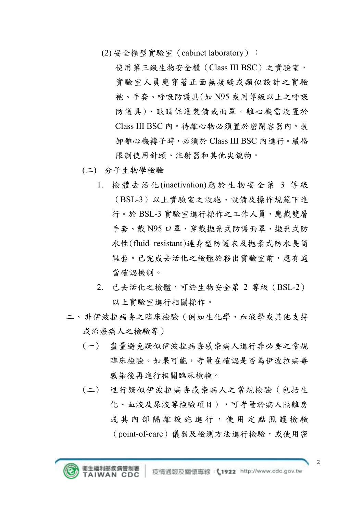(2) 安全櫃型實驗室(cabinet laboratory):

使用第三級生物安全櫃(Class III BSC)之實驗室, 實驗室人員應穿著正面無接縫或類似設計之實驗 袍、手套、呼吸防護具(如 N95 或同等級以上之呼吸 防護具)、眼睛保護裝備或面罩。離心機需設置於 Class III BSC 內。待離心物必須置於密閉容器內。裝 卸離心機轉子時,必須於 Class III BSC 內進行。嚴格 限制使用針頭、注射器和其他尖銳物。

- (二) 分子生物學檢驗
	- 1. 檢體去活化(inactivation)應於生物安全第 3 等級 (BSL-3)以上實驗室之設施、設備及操作規範下進 行。於 BSL-3 實驗室進行操作之工作人員,應戴雙層 手套、戴 N95 口罩、穿戴拋棄式防護面罩、拋棄式防 水性(fluid resistant)連身型防護衣及拋棄式防水長筒 鞋套。已完成去活化之檢體於移出實驗室前,應有適 當確認機制。
	- 2. 已去活化之檢體,可於生物安全第 2 等級(BSL-2) 以上實驗室進行相關操作。
- 二、非伊波拉病毒之臨床檢驗(例如生化學、血液學或其他支持 或治療病人之檢驗等)
	- (一) 盡量避免疑似伊波拉病毒感染病人進行非必要之常規 臨床檢驗。如果可能,考量在確認是否為伊波拉病毒 感染後再進行相關臨床檢驗。
	- (二) 進行疑似伊波拉病毒感染病人之常規檢驗(包括生 化、血液及尿液等檢驗項目),可考量於病人隔離房 或其內部 隔離 設 施 進 行 , 使 用 定 點 照 護 檢 驗 (point-of-care)儀器及檢測方法進行檢驗,或使用密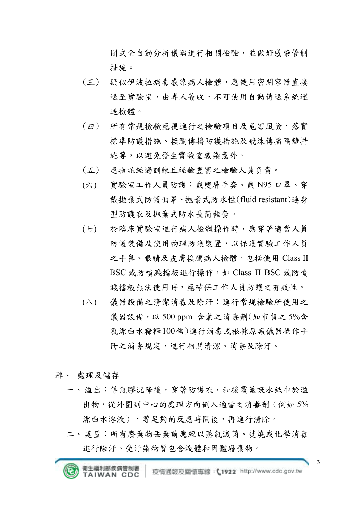閉式全自動分析儀器進行相關檢驗,並做好感染管制 措施。

- (三) 疑似伊波拉病毒感染病人檢體,應使用密閉容器直接 送至實驗室,由專人簽收,不可使用自動傳送系統運 送檢體。
- (四) 所有常規檢驗應視進行之檢驗項目及危害風險,落實 標準防護措施、接觸傳播防護措施及飛沫傳播隔離措 施等,以避免發生實驗室感染意外。
- (五) 應指派經過訓練且經驗豐富之檢驗人員負責。
- (六) 實驗室工作人員防護:戴雙層手套、戴 N95 口罩、穿 戴拋棄式防護面罩、拋棄式防水性(fluid resistant)連身 型防護衣及拋棄式防水長筒鞋套。
- (七) 於臨床實驗室進行病人檢體操作時,應穿著適當人員 防護裝備及使用物理防護裝置,以保護實驗工作人員 之手鼻、眼睛及皮膚接觸病人檢體。包括使用 Class II BSC 或防噴濺擋板進行操作,如 Class II BSC 或防噴 濺擋板無法使用時,應確保工作人員防護之有效性。
- (八) 儀器設備之清潔消毒及除汙:進行常規檢驗所使用之 儀器設備,以 500 ppm 含氯之消毒劑(如市售之 5%含 氯漂白水稀釋100倍)進行消毒或根據原廠儀器操作手 冊之消毒規定,進行相關清潔、消毒及除汙。
- 肆、 處理及儲存
	- 一、溢出:等氣膠沉降後,穿著防護衣,和緩覆蓋吸水紙巾於溢 出物,從外圍到中心的處理方向倒入適當之消毒劑(例如 5% 漂白水溶液),等足夠的反應時間後,再進行清除。
	- 二、處置:所有廢棄物丟棄前應經以蒸氣滅菌、焚燒或化學消毒 進行除汙。受汙染物質包含液體和固體廢棄物。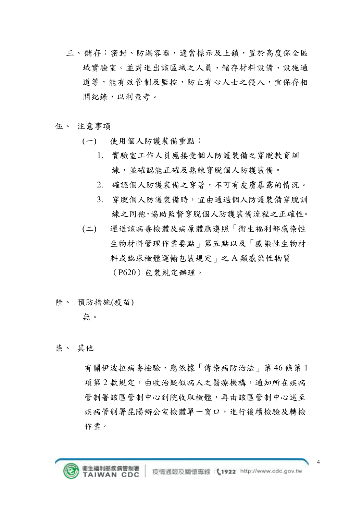- 三、儲存:密封、防漏容器,適當標示及上鎖,置於高度保全區 域實驗室。並對進出該區域之人員、儲存材料設備、設施通 道等,能有效管制及監控,防止有心人士之侵入,宜保存相 關紀錄,以利查考。
- 伍、 注意事項
	- (一) 使用個人防護裝備重點:
		- 1. 實驗室工作人員應接受個人防護裝備之穿脫教育訓 練,並確認能正確及熟練穿脫個人防護裝備。
		- 2. 確認個人防護裝備之穿著,不可有皮膚暴露的情況。
		- 3. 穿脫個人防護裝備時,宜由通過個人防護裝備穿脫訓 練之同袍,協助監督穿脫個人防護裝備流程之正確性。
	- (二) 運送該病毒檢體及病原體應遵照「衛生福利部感染性 生物材料管理作業要點」第五點以及「感染性生物材 料或臨床檢體運輸包裝規定」之 A 類感染性物質 (P620)包裝規定辦理。
- 陸、 預防措施(疫苗)

## 無。

柒、 其他

有關伊波拉病毒檢驗,應依據「傳染病防治法」第46條第1 項第2款規定,由收治疑似病人之醫療機構,通知所在疾病 管制署該區管制中心到院收取檢體,再由該區管制中心送至 疾病管制署昆陽辦公室檢體單一窗口,進行後續檢驗及轉檢 作業。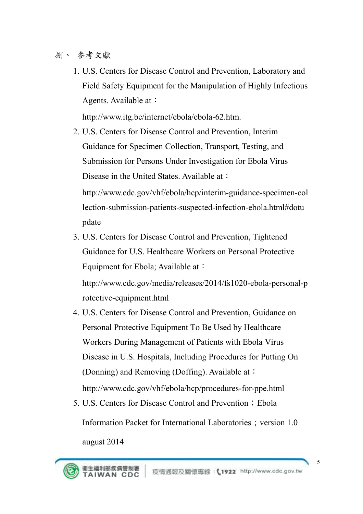## 捌、 參考文獻

1. U.S. Centers for Disease Control and Prevention, Laboratory and Field Safety Equipment for the Manipulation of Highly Infectious Agents. Available at:

http://www.itg.be/internet/ebola/ebola-62.htm.

2. U.S. Centers for Disease Control and Prevention, Interim Guidance for Specimen Collection, Transport, Testing, and Submission for Persons Under Investigation for Ebola Virus Disease in the United States. Available at:

http://www.cdc.gov/vhf/ebola/hcp/interim-guidance-specimen-col lection-submission-patients-suspected-infection-ebola.html#dotu pdate

3. U.S. Centers for Disease Control and Prevention, Tightened Guidance for U.S. Healthcare Workers on Personal Protective Equipment for Ebola; Available at:

http://www.cdc.gov/media/releases/2014/fs1020-ebola-personal-p rotective-equipment.html

- 4. U.S. Centers for Disease Control and Prevention, Guidance on Personal Protective Equipment To Be Used by Healthcare Workers During Management of Patients with Ebola Virus Disease in U.S. Hospitals, Including Procedures for Putting On (Donning) and Removing (Doffing). Available at: http://www.cdc.gov/vhf/ebola/hcp/procedures-for-ppe.html
- 5. U.S. Centers for Disease Control and Prevention; Ebola Information Packet for International Laboratories; version 1.0 august 2014